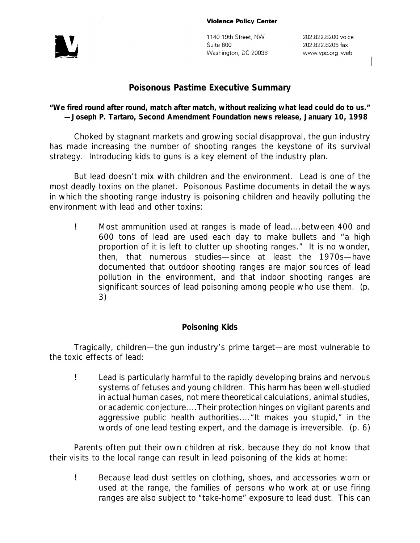#### **Violence Policy Center**



1140 19th Street, NW Suite 600 Washington, DC 20036

202.822.8200 voice 202.822.8205 fax www.vpc.org web

## **Poisonous Pastime Executive Summary**

### *"We fired round after round, match after match, without realizing what lead could do to us."* **—Joseph P. Tartaro, Second Amendment Foundation news release, January 10, 1998**

Choked by stagnant markets and growing social disapproval, the gun industry has made increasing the number of shooting ranges the keystone of its survival strategy. Introducing kids to guns is a key element of the industry plan.

But lead doesn't mix with children and the environment. Lead is one of the most deadly toxins on the planet. *Poisonous Pastime* documents in detail the ways in which the shooting range industry is poisoning children and heavily polluting the environment with lead and other toxins:

! Most ammunition used at ranges is made of lead....between 400 and 600 tons of lead are used each day to make bullets and "a high proportion of it is left to clutter up shooting ranges." It is no wonder, then, that numerous studies—since at least the 1970s—have documented that *outdoor* shooting ranges are major sources of lead pollution in the environment, and that *indoor* shooting ranges are significant sources of lead poisoning among people who use them. (p. 3)

#### *Poisoning Kids*

Tragically, children—the gun industry's prime target—are most vulnerable to the toxic effects of lead:

! Lead is particularly harmful to the rapidly developing brains and nervous systems of fetuses and young children. This harm has been well-studied in actual human cases, not mere theoretical calculations, animal studies, or academic conjecture....Their protection hinges on vigilant parents and aggressive public health authorities...."It makes you stupid," in the words of one lead testing expert, and the damage is irreversible. (p. 6)

Parents often put their own children at risk, because they do not know that their visits to the local range can result in lead poisoning of the kids at home:

! Because lead dust settles on clothing, shoes, and accessories worn or used at the range, the families of persons who work at or use firing ranges are also subject to "take-home" exposure to lead dust. This can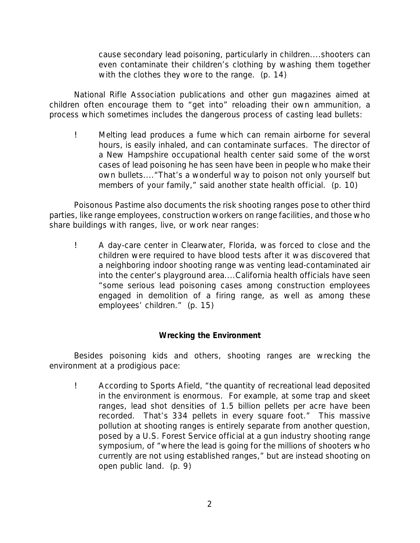cause secondary lead poisoning, particularly in children....shooters can even contaminate their children's clothing by washing them together with the clothes they wore to the range. (p. 14)

National Rifle Association publications and other gun magazines aimed at children often encourage them to "get into" reloading their own ammunition, a process which sometimes includes the dangerous process of casting lead bullets:

! Melting lead produces a fume which can remain airborne for several hours, is easily inhaled, and can contaminate surfaces. The director of a New Hampshire occupational health center said some of the worst cases of lead poisoning he has seen have been in people who make their own bullets...."That's a wonderful way to poison not only yourself but members of your family," said another state health official. (p. 10)

*Poisonous Pastime* also documents the risk shooting ranges pose to other third parties, like range employees, construction workers on range facilities, and those who share buildings with ranges, live, or work near ranges:

! A day-care center in Clearwater, Florida, was forced to close and the children were required to have blood tests after it was discovered that a neighboring indoor shooting range was venting lead-contaminated air into the center's playground area....California health officials have seen "some serious lead poisoning cases among construction employees engaged in demolition of a firing range, as well as among these employees' children." (p. 15)

# *Wrecking the Environment*

Besides poisoning kids and others, shooting ranges are wrecking the environment at a prodigious pace:

! According to *Sports Afield*, "the quantity of recreational lead deposited in the environment is enormous. For example, at some trap and skeet ranges, lead shot densities of 1.5 billion pellets per acre have been recorded. That's 334 pellets in every square foot." This massive pollution at shooting ranges is entirely separate from another question, posed by a U.S. Forest Service official at a gun industry shooting range symposium, of "where the lead is going for the millions of shooters who currently are not using established ranges," but are instead shooting on open public land. (p. 9)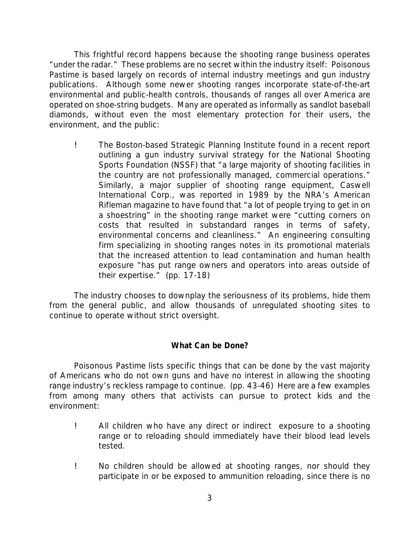This frightful record happens because the shooting range business operates "under the radar." These problems are no secret within the industry itself: *Poisonous Pastime* is based largely on records of internal industry meetings and gun industry publications. Although some newer shooting ranges incorporate state-of-the-art environmental and public-health controls, thousands of ranges all over America are operated on shoe-string budgets. Many are operated as informally as sandlot baseball diamonds, without even the most elementary protection for their users, the environment, and the public:

! The Boston-based Strategic Planning Institute found in a recent report outlining a gun industry survival strategy for the National Shooting Sports Foundation (NSSF) that "a large majority of shooting facilities in the country are not professionally managed, commercial operations." Similarly, a major supplier of shooting range equipment, Caswell International Corp., was reported in 1989 by the NRA's *American Rifleman* magazine to have found that "a lot of people trying to get in on a shoestring" in the shooting range market were "cutting corners on costs that resulted in substandard ranges in terms of safety, environmental concerns and cleanliness." An engineering consulting firm specializing in shooting ranges notes in its promotional materials that the increased attention to lead contamination and human health exposure "has put range owners and operators into areas outside of their expertise." (pp. 17-18)

The industry chooses to downplay the seriousness of its problems, hide them from the general public, and allow thousands of unregulated shooting sites to continue to operate without strict oversight.

### *What Can be Done?*

*Poisonous Pastime* lists specific things that can be done by the vast majority of Americans who do not own guns and have no interest in allowing the shooting range industry's reckless rampage to continue. (pp. 43-46) Here are a few examples from among many others that activists can pursue to protect kids and the environment:

- ! *All children who have any direct or indirect exposure to a shooting range or to reloading should immediately have their blood lead levels tested.*
- ! *No children should be allowed at shooting ranges, nor should they participate in or be exposed to ammunition reloading, since there is no*